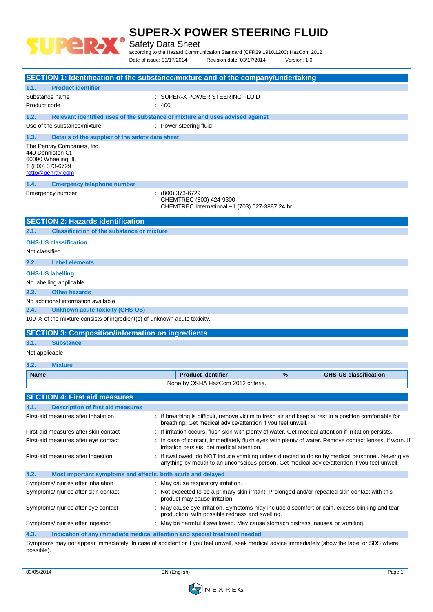

Safety Data Sheet

according to the Hazard Communication Standard (CFR29 1910.1200) HazCom 2012. Date of issue: 03/17/2014 Revision date: 03/17/2014 Version: 1.0

|                                                                                                               | SECTION 1: Identification of the substance/mixture and of the company/undertaking                                                                                                                |  |  |
|---------------------------------------------------------------------------------------------------------------|--------------------------------------------------------------------------------------------------------------------------------------------------------------------------------------------------|--|--|
| <b>Product identifier</b><br>1.1.                                                                             |                                                                                                                                                                                                  |  |  |
| Substance name                                                                                                | : SUPER-X POWER STEERING FLUID                                                                                                                                                                   |  |  |
| Product code                                                                                                  | : 400                                                                                                                                                                                            |  |  |
| 1.2.                                                                                                          | Relevant identified uses of the substance or mixture and uses advised against                                                                                                                    |  |  |
| Use of the substance/mixture                                                                                  | : Power steering fluid                                                                                                                                                                           |  |  |
| 1.3.<br>Details of the supplier of the safety data sheet                                                      |                                                                                                                                                                                                  |  |  |
| The Penray Companies, Inc.<br>440 Denniston Ct.<br>60090 Wheeling, IL<br>T (800) 373-6729<br>rotto@penray.com |                                                                                                                                                                                                  |  |  |
| 1.4.<br><b>Emergency telephone number</b>                                                                     |                                                                                                                                                                                                  |  |  |
| Emergency number                                                                                              | : (800) 373-6729<br>CHEMTREC (800) 424-9300<br>CHEMTREC International +1 (703) 527-3887 24 hr                                                                                                    |  |  |
| <b>SECTION 2: Hazards identification</b>                                                                      |                                                                                                                                                                                                  |  |  |
| <b>Classification of the substance or mixture</b><br>2.1.                                                     |                                                                                                                                                                                                  |  |  |
| <b>GHS-US classification</b><br>Not classified                                                                |                                                                                                                                                                                                  |  |  |
| <b>Label elements</b><br>2.2.                                                                                 |                                                                                                                                                                                                  |  |  |
| <b>GHS-US labelling</b>                                                                                       |                                                                                                                                                                                                  |  |  |
| No labelling applicable                                                                                       |                                                                                                                                                                                                  |  |  |
| <b>Other hazards</b><br>2.3.                                                                                  |                                                                                                                                                                                                  |  |  |
| No additional information available                                                                           |                                                                                                                                                                                                  |  |  |
| 2.4.<br><b>Unknown acute toxicity (GHS-US)</b>                                                                |                                                                                                                                                                                                  |  |  |
| 100 % of the mixture consists of ingredient(s) of unknown acute toxicity.                                     |                                                                                                                                                                                                  |  |  |
| <b>SECTION 3: Composition/information on ingredients</b>                                                      |                                                                                                                                                                                                  |  |  |
| 3.1.<br><b>Substance</b>                                                                                      |                                                                                                                                                                                                  |  |  |
| Not applicable                                                                                                |                                                                                                                                                                                                  |  |  |
| 3.2.<br><b>Mixture</b>                                                                                        |                                                                                                                                                                                                  |  |  |
| <b>Name</b>                                                                                                   | <b>Product identifier</b><br>%<br><b>GHS-US classification</b>                                                                                                                                   |  |  |
|                                                                                                               | None by OSHA HazCom 2012 criteria.                                                                                                                                                               |  |  |
| <b>SECTION 4: First aid measures</b>                                                                          |                                                                                                                                                                                                  |  |  |
| 4.1.<br><b>Description of first aid measures</b>                                                              |                                                                                                                                                                                                  |  |  |
| First-aid measures after inhalation                                                                           | : If breathing is difficult, remove victim to fresh air and keep at rest in a position comfortable for<br>breathing. Get medical advice/attention if you feel unwell.                            |  |  |
| First-aid measures after skin contact                                                                         | : If irritation occurs, flush skin with plenty of water. Get medical attention if irritation persists.                                                                                           |  |  |
| First-aid measures after eye contact                                                                          | : In case of contact, immediately flush eyes with plenty of water. Remove contact lenses, if worn. If<br>irritation persists, get medical attention.                                             |  |  |
| First-aid measures after ingestion                                                                            | : If swallowed, do NOT induce vomiting unless directed to do so by medical personnel. Never give<br>anything by mouth to an unconscious person. Get medical advice/attention if you feel unwell. |  |  |
| 4.2.<br>Most important symptoms and effects, both acute and delayed                                           |                                                                                                                                                                                                  |  |  |
| Symptoms/injuries after inhalation                                                                            | : May cause respiratory irritation.                                                                                                                                                              |  |  |
| Symptoms/injuries after skin contact                                                                          | : Not expected to be a primary skin irritant. Prolonged and/or repeated skin contact with this<br>product may cause irritation.                                                                  |  |  |
| Symptoms/injuries after eye contact                                                                           | : May cause eye irritation. Symptoms may include discomfort or pain, excess blinking and tear<br>production, with possible redness and swelling.                                                 |  |  |
| Symptoms/injuries after ingestion                                                                             | : May be harmful if swallowed. May cause stomach distress, nausea or vomiting.                                                                                                                   |  |  |
| 4.3.                                                                                                          | Indication of any immediate medical attention and special treatment needed                                                                                                                       |  |  |
|                                                                                                               | Symptoms may not appear immediately. In case of accident or if you feel unwell, seek medical advice immediately (show the label or SDS where                                                     |  |  |

Symptoms may not appear immediately. In case of accident or if you feel unwell, seek medical advice immediately (show the label or SDS where possible).

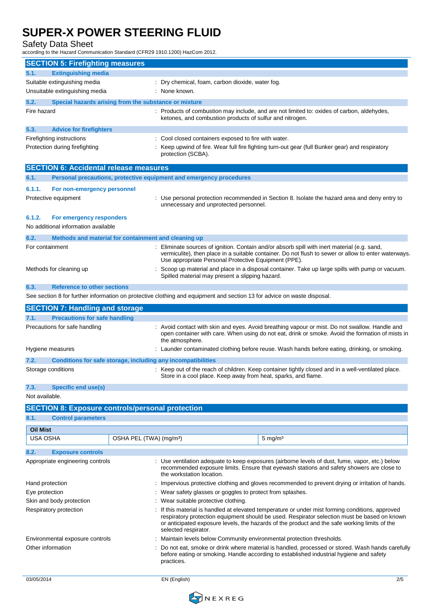Safety Data Sheet

according to the Hazard Communication Standard (CFR29 1910.1200) HazCom 2012.

| <b>SECTION 5: Firefighting measures</b>                              |                                     |                                                                                                                                                                                                                                                                                                                         |                                                                                                                                                                                                    |  |
|----------------------------------------------------------------------|-------------------------------------|-------------------------------------------------------------------------------------------------------------------------------------------------------------------------------------------------------------------------------------------------------------------------------------------------------------------------|----------------------------------------------------------------------------------------------------------------------------------------------------------------------------------------------------|--|
|                                                                      |                                     |                                                                                                                                                                                                                                                                                                                         |                                                                                                                                                                                                    |  |
| <b>Extinguishing media</b><br>5.1.                                   |                                     |                                                                                                                                                                                                                                                                                                                         |                                                                                                                                                                                                    |  |
| Suitable extinguishing media<br>Unsuitable extinguishing media       |                                     | Dry chemical, foam, carbon dioxide, water fog.<br>None known.                                                                                                                                                                                                                                                           |                                                                                                                                                                                                    |  |
|                                                                      |                                     |                                                                                                                                                                                                                                                                                                                         |                                                                                                                                                                                                    |  |
| 5.2.<br>Special hazards arising from the substance or mixture        |                                     |                                                                                                                                                                                                                                                                                                                         |                                                                                                                                                                                                    |  |
| Fire hazard                                                          |                                     | ketones, and combustion products of sulfur and nitrogen.                                                                                                                                                                                                                                                                | Products of combustion may include, and are not limited to: oxides of carbon, aldehydes,                                                                                                           |  |
| <b>Advice for firefighters</b><br>5.3.                               |                                     |                                                                                                                                                                                                                                                                                                                         |                                                                                                                                                                                                    |  |
| Firefighting instructions                                            |                                     | Cool closed containers exposed to fire with water.                                                                                                                                                                                                                                                                      |                                                                                                                                                                                                    |  |
| Protection during firefighting                                       |                                     | protection (SCBA).                                                                                                                                                                                                                                                                                                      | Keep upwind of fire. Wear full fire fighting turn-out gear (full Bunker gear) and respiratory                                                                                                      |  |
| <b>SECTION 6: Accidental release measures</b>                        |                                     |                                                                                                                                                                                                                                                                                                                         |                                                                                                                                                                                                    |  |
| 6.1.                                                                 |                                     | Personal precautions, protective equipment and emergency procedures                                                                                                                                                                                                                                                     |                                                                                                                                                                                                    |  |
| 6.1.1.<br>For non-emergency personnel                                |                                     |                                                                                                                                                                                                                                                                                                                         |                                                                                                                                                                                                    |  |
| Protective equipment                                                 |                                     | unnecessary and unprotected personnel.                                                                                                                                                                                                                                                                                  | Use personal protection recommended in Section 8. Isolate the hazard area and deny entry to                                                                                                        |  |
| 6.1.2.<br>For emergency responders                                   |                                     |                                                                                                                                                                                                                                                                                                                         |                                                                                                                                                                                                    |  |
| No additional information available                                  |                                     |                                                                                                                                                                                                                                                                                                                         |                                                                                                                                                                                                    |  |
| 6.2.<br>Methods and material for containment and cleaning up         |                                     |                                                                                                                                                                                                                                                                                                                         |                                                                                                                                                                                                    |  |
| For containment                                                      |                                     | Use appropriate Personal Protective Equipment (PPE).                                                                                                                                                                                                                                                                    | Eliminate sources of ignition. Contain and/or absorb spill with inert material (e.g. sand,<br>vermiculite), then place in a suitable container. Do not flush to sewer or allow to enter waterways. |  |
| Methods for cleaning up                                              |                                     | Spilled material may present a slipping hazard.                                                                                                                                                                                                                                                                         | Scoop up material and place in a disposal container. Take up large spills with pump or vacuum.                                                                                                     |  |
| <b>Reference to other sections</b><br>6.3.                           |                                     |                                                                                                                                                                                                                                                                                                                         |                                                                                                                                                                                                    |  |
|                                                                      |                                     | See section 8 for further information on protective clothing and equipment and section 13 for advice on waste disposal.                                                                                                                                                                                                 |                                                                                                                                                                                                    |  |
| <b>SECTION 7: Handling and storage</b>                               |                                     |                                                                                                                                                                                                                                                                                                                         |                                                                                                                                                                                                    |  |
| <b>Precautions for safe handling</b><br>7.1.                         |                                     |                                                                                                                                                                                                                                                                                                                         |                                                                                                                                                                                                    |  |
| Precautions for safe handling                                        |                                     | : Avoid contact with skin and eyes. Avoid breathing vapour or mist. Do not swallow. Handle and<br>open container with care. When using do not eat, drink or smoke. Avoid the formation of mists in<br>the atmosphere.                                                                                                   |                                                                                                                                                                                                    |  |
| Hygiene measures                                                     |                                     |                                                                                                                                                                                                                                                                                                                         | : Launder contaminated clothing before reuse. Wash hands before eating, drinking, or smoking.                                                                                                      |  |
| 7.2.<br>Conditions for safe storage, including any incompatibilities |                                     |                                                                                                                                                                                                                                                                                                                         |                                                                                                                                                                                                    |  |
| Storage conditions                                                   |                                     | Store in a cool place. Keep away from heat, sparks, and flame.                                                                                                                                                                                                                                                          | : Keep out of the reach of children. Keep container tightly closed and in a well-ventilated place.                                                                                                 |  |
| 7.3.<br><b>Specific end use(s)</b>                                   |                                     |                                                                                                                                                                                                                                                                                                                         |                                                                                                                                                                                                    |  |
| Not available.                                                       |                                     |                                                                                                                                                                                                                                                                                                                         |                                                                                                                                                                                                    |  |
| <b>SECTION 8: Exposure controls/personal protection</b>              |                                     |                                                                                                                                                                                                                                                                                                                         |                                                                                                                                                                                                    |  |
| 8.1.<br><b>Control parameters</b>                                    |                                     |                                                                                                                                                                                                                                                                                                                         |                                                                                                                                                                                                    |  |
|                                                                      |                                     |                                                                                                                                                                                                                                                                                                                         |                                                                                                                                                                                                    |  |
| <b>Oil Mist</b><br><b>USA OSHA</b>                                   | OSHA PEL (TWA) (mg/m <sup>3</sup> ) |                                                                                                                                                                                                                                                                                                                         | $5 \text{ mg/m}^3$                                                                                                                                                                                 |  |
|                                                                      |                                     |                                                                                                                                                                                                                                                                                                                         |                                                                                                                                                                                                    |  |
| <b>Exposure controls</b><br>8.2.                                     |                                     |                                                                                                                                                                                                                                                                                                                         |                                                                                                                                                                                                    |  |
| Appropriate engineering controls                                     |                                     | the workstation location.                                                                                                                                                                                                                                                                                               | : Use ventilation adequate to keep exposures (airborne levels of dust, fume, vapor, etc.) below<br>recommended exposure limits. Ensure that eyewash stations and safety showers are close to       |  |
| Hand protection                                                      |                                     |                                                                                                                                                                                                                                                                                                                         | Impervious protective clothing and gloves recommended to prevent drying or irritation of hands.                                                                                                    |  |
| Eye protection                                                       |                                     | Wear safety glasses or goggles to protect from splashes.                                                                                                                                                                                                                                                                |                                                                                                                                                                                                    |  |
| Skin and body protection                                             |                                     | Wear suitable protective clothing.                                                                                                                                                                                                                                                                                      |                                                                                                                                                                                                    |  |
| Respiratory protection                                               |                                     | If this material is handled at elevated temperature or under mist forming conditions, approved<br>respiratory protection equipment should be used. Respirator selection must be based on known<br>or anticipated exposure levels, the hazards of the product and the safe working limits of the<br>selected respirator. |                                                                                                                                                                                                    |  |
| Environmental exposure controls<br>Other information                 |                                     | Maintain levels below Community environmental protection thresholds.<br>practices.                                                                                                                                                                                                                                      | Do not eat, smoke or drink where material is handled, processed or stored. Wash hands carefully<br>before eating or smoking. Handle according to established industrial hygiene and safety         |  |

03/05/2014 EN (English) 2/5

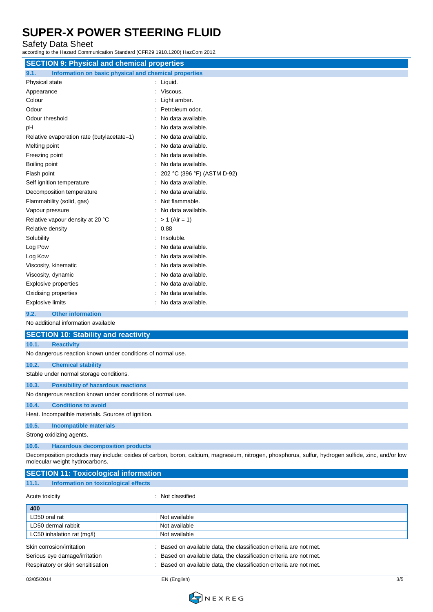Safety Data Sheet

according to the Hazard Communication Standard (CFR29 1910.1200) HazCom 2012.

| <b>SECTION 9: Physical and chemical properties</b>          |                                                       |  |  |
|-------------------------------------------------------------|-------------------------------------------------------|--|--|
| 9.1.                                                        | Information on basic physical and chemical properties |  |  |
| Physical state                                              | : Liquid.                                             |  |  |
| Appearance                                                  | Viscous.                                              |  |  |
| Colour                                                      | Light amber.                                          |  |  |
| Odour                                                       | Petroleum odor.                                       |  |  |
| Odour threshold                                             | No data available.                                    |  |  |
| pH                                                          | No data available.                                    |  |  |
| Relative evaporation rate (butylacetate=1)                  | No data available.                                    |  |  |
| Melting point                                               | No data available.                                    |  |  |
| Freezing point                                              | No data available.                                    |  |  |
| Boiling point                                               | No data available.                                    |  |  |
| Flash point                                                 | 202 °C (396 °F) (ASTM D-92)                           |  |  |
| Self ignition temperature                                   | No data available.                                    |  |  |
| Decomposition temperature                                   | No data available.                                    |  |  |
| Flammability (solid, gas)                                   | Not flammable.                                        |  |  |
| Vapour pressure                                             | No data available.                                    |  |  |
| Relative vapour density at 20 °C                            | $> 1$ (Air = 1)                                       |  |  |
| Relative density                                            | 0.88<br>÷                                             |  |  |
| Solubility                                                  | Insoluble.                                            |  |  |
| Log Pow                                                     | No data available.                                    |  |  |
| Log Kow                                                     | No data available.                                    |  |  |
| Viscosity, kinematic                                        | No data available.                                    |  |  |
| Viscosity, dynamic                                          | No data available.                                    |  |  |
| Explosive properties                                        | No data available.                                    |  |  |
| Oxidising properties                                        | No data available.                                    |  |  |
| <b>Explosive limits</b>                                     | No data available.                                    |  |  |
| <b>Other information</b><br>9.2.                            |                                                       |  |  |
| No additional information available                         |                                                       |  |  |
| <b>SECTION 10: Stability and reactivity</b>                 |                                                       |  |  |
| 10.1.<br><b>Reactivity</b>                                  |                                                       |  |  |
| No dangerous reaction known under conditions of normal use. |                                                       |  |  |
| 10.2.<br><b>Chemical stability</b>                          |                                                       |  |  |
| Stable under normal storage conditions.                     |                                                       |  |  |
| 10.3.<br><b>Possibility of hazardous reactions</b>          |                                                       |  |  |
| No dangerous reaction known under conditions of normal use. |                                                       |  |  |
| 10.4.<br><b>Conditions to avoid</b>                         |                                                       |  |  |
| Heat. Incompatible materials. Sources of ignition.          |                                                       |  |  |
| <b>Incompatible materials</b><br>10.5.                      |                                                       |  |  |
|                                                             |                                                       |  |  |

Strong oxidizing agents.

**10.6. Hazardous decomposition products**

**SECTION 11: Toxicological information**

Decomposition products may include: oxides of carbon, boron, calcium, magnesium, nitrogen, phosphorus, sulfur, hydrogen sulfide, zinc, and/or low molecular weight hydrocarbons.

| 11.1.<br>Information on toxicological effects |                                                                     |
|-----------------------------------------------|---------------------------------------------------------------------|
| Acute toxicity                                | : Not classified                                                    |
| 400                                           |                                                                     |
| LD50 oral rat                                 | Not available                                                       |
| LD50 dermal rabbit                            | Not available                                                       |
| LC50 inhalation rat (mg/l)                    | Not available                                                       |
| Skin corrosion/irritation                     | Based on available data, the classification criteria are not met.   |
| Serious eye damage/irritation                 | : Based on available data, the classification criteria are not met. |
| Respiratory or skin sensitisation             | : Based on available data, the classification criteria are not met. |

03/05/2014 EN (English) 3/5

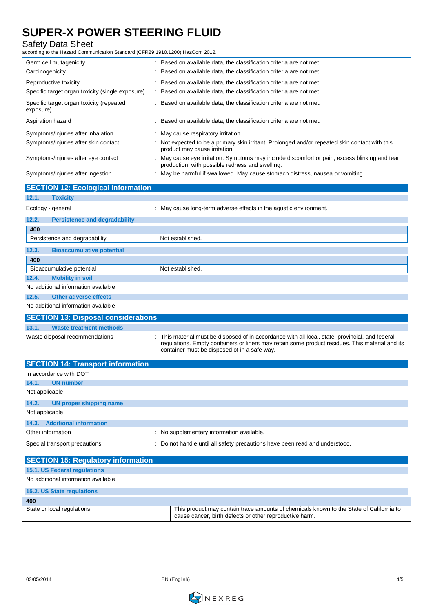#### Safety Data Sheet

according to the Hazard Communication Standard (CFR29 1910.1200) HazCom 2012.

| Germ cell mutagenicity                                | : Based on available data, the classification criteria are not met.                                                                                                                                                                               |  |
|-------------------------------------------------------|---------------------------------------------------------------------------------------------------------------------------------------------------------------------------------------------------------------------------------------------------|--|
| Carcinogenicity                                       | Based on available data, the classification criteria are not met.                                                                                                                                                                                 |  |
| Reproductive toxicity                                 | Based on available data, the classification criteria are not met.                                                                                                                                                                                 |  |
| Specific target organ toxicity (single exposure)      | Based on available data, the classification criteria are not met.                                                                                                                                                                                 |  |
| Specific target organ toxicity (repeated<br>exposure) | Based on available data, the classification criteria are not met.                                                                                                                                                                                 |  |
| Aspiration hazard                                     | Based on available data, the classification criteria are not met.                                                                                                                                                                                 |  |
| Symptoms/injuries after inhalation                    | May cause respiratory irritation.                                                                                                                                                                                                                 |  |
| Symptoms/injuries after skin contact                  | Not expected to be a primary skin irritant. Prolonged and/or repeated skin contact with this<br>product may cause irritation.                                                                                                                     |  |
| Symptoms/injuries after eye contact                   | May cause eye irritation. Symptoms may include discomfort or pain, excess blinking and tear<br>production, with possible redness and swelling.                                                                                                    |  |
| Symptoms/injuries after ingestion                     | May be harmful if swallowed. May cause stomach distress, nausea or vomiting.                                                                                                                                                                      |  |
| <b>SECTION 12: Ecological information</b>             |                                                                                                                                                                                                                                                   |  |
| 12.1.<br><b>Toxicity</b>                              |                                                                                                                                                                                                                                                   |  |
| Ecology - general                                     | May cause long-term adverse effects in the aquatic environment.                                                                                                                                                                                   |  |
| 12.2.<br><b>Persistence and degradability</b>         |                                                                                                                                                                                                                                                   |  |
| 400                                                   |                                                                                                                                                                                                                                                   |  |
| Persistence and degradability                         | Not established.                                                                                                                                                                                                                                  |  |
| 12.3.<br><b>Bioaccumulative potential</b>             |                                                                                                                                                                                                                                                   |  |
| 400                                                   |                                                                                                                                                                                                                                                   |  |
| Bioaccumulative potential                             | Not established.                                                                                                                                                                                                                                  |  |
| 12.4.<br><b>Mobility in soil</b>                      |                                                                                                                                                                                                                                                   |  |
| No additional information available                   |                                                                                                                                                                                                                                                   |  |
| <b>Other adverse effects</b><br>12.5.                 |                                                                                                                                                                                                                                                   |  |
| No additional information available                   |                                                                                                                                                                                                                                                   |  |
| <b>SECTION 13: Disposal considerations</b>            |                                                                                                                                                                                                                                                   |  |
| <b>Waste treatment methods</b><br>13.1.               |                                                                                                                                                                                                                                                   |  |
| Waste disposal recommendations                        | This material must be disposed of in accordance with all local, state, provincial, and federal<br>regulations. Empty containers or liners may retain some product residues. This material and its<br>container must be disposed of in a safe way. |  |
| <b>SECTION 14: Transport information</b>              |                                                                                                                                                                                                                                                   |  |
|                                                       |                                                                                                                                                                                                                                                   |  |

| In accordance with DOT           |                                                                             |
|----------------------------------|-----------------------------------------------------------------------------|
| 14.1.<br>UN number               |                                                                             |
| Not applicable                   |                                                                             |
| 14.2.<br>UN proper shipping name |                                                                             |
| Not applicable                   |                                                                             |
| 14.3. Additional information     |                                                                             |
| Other information                | : No supplementary information available.                                   |
| Special transport precautions    | : Do not handle until all safety precautions have been read and understood. |

| <b>SECTION 15: Regulatory information</b> |                                                                                                                                                    |
|-------------------------------------------|----------------------------------------------------------------------------------------------------------------------------------------------------|
| 15.1. US Federal regulations              |                                                                                                                                                    |
| No additional information available       |                                                                                                                                                    |
| <b>15.2. US State regulations</b>         |                                                                                                                                                    |
| 400                                       |                                                                                                                                                    |
| State or local regulations                | This product may contain trace amounts of chemicals known to the State of California to<br>cause cancer, birth defects or other reproductive harm. |